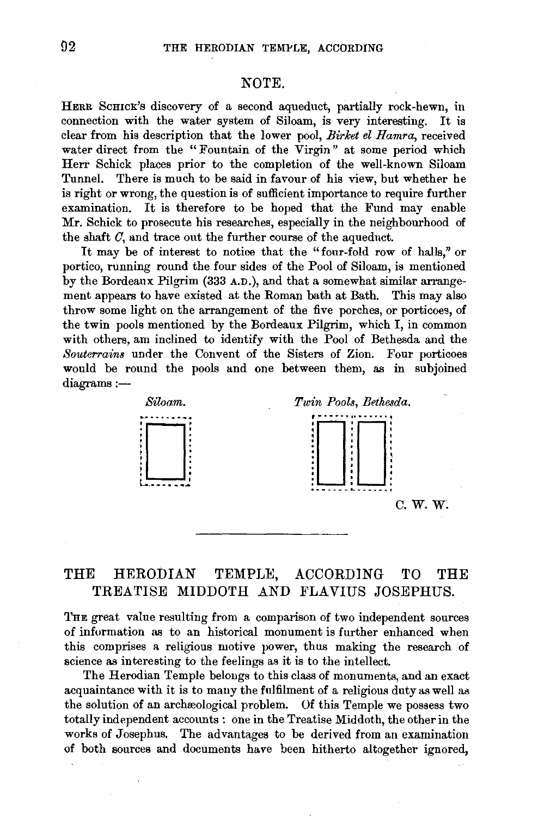# NOTE.

HERR ScHICK's discovery of a second aqueduct, partially rock-hewn, in connection with the water system of Siloam, is very interesting. It is clear from his description that the lower pool, *Birlcet el Hamra,* received water direct from the "Fountain of the Virgin" at some period which Herr Schick places prior to the completion of the well-known Siloam Tunnel. There is much to be said in favour of his view, but whether he is right or wrong, the question is of sufficient importance to require further examination. It is therefore to be hoped that the Fund may enable Mr. Schick to prosecute his researches, especially in the neighbourhood of the shaft C, and trace out the further course of the aqueduct.

It may be of interest to notice that the "four-fold row of halls," or portico, running round the four sides of the Pool of Siloam, is mentioned by the Bordeaux Pilgrim (333 A.D.), and that a somewhat similar arrangement appears to have existed at the Roman bath at Bath. This may also throw some light on the arrangement of the five porches, or porticoes, of the twin pools mentioned by the Bordeaux Pilgrim, which I, in common with others, am inclined to identify with the Pool of Bethesda and the *Souterrains* under the Convent of the Sisters of Zion. Four porticoes would be round the pools and one between them, as in subjoined  $diagrams:$ 



# THE HERODIAN TEMPLE, ACCORDING TO THE TREATISE MIDDOTH AND FLAVIUS JOSEPHUS.

'l'HE great value resulting from a comparison of two independent sources of information as to an historical monument is further enhanced when this comprises a religious motive power, thus making the research of science as interesting to the feelings as it is to the intellect.

The Herodian Temple belongs to this class of monuments, and an exact acquaintance with it is to many the fulfilment of a religious duty as well as the solution of an archaeological problem. Of this Temple we possess two totally independent accounts : one in the Treatise Middoth, the other in the works of Josephus, The advantages to be derived from an examination of both sources and documents have been hitherto altogether ignored,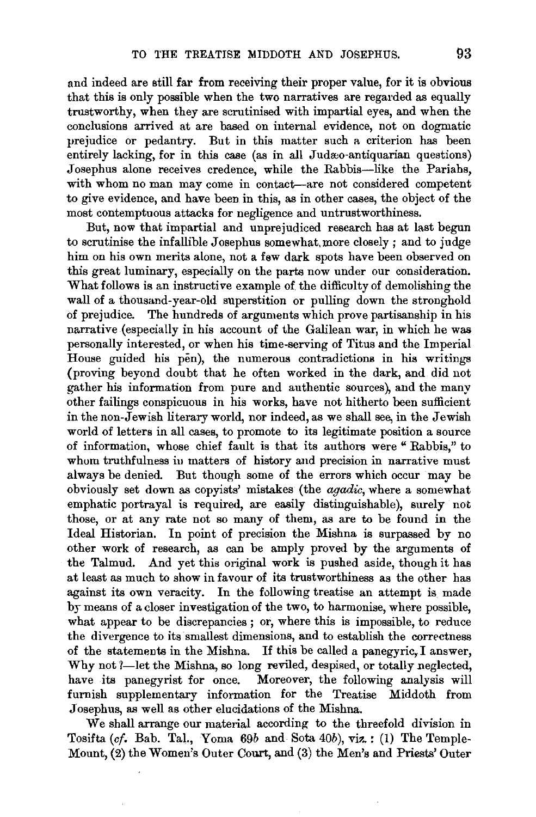and indeed are still far from receiving their proper value, for it is obvious that this is only possible when the two narratives are regarded as equally trustworthy, when they are scrutinised with impartial eyes, and when the conclusions arrived at are based on internal evidence, not on dogmatic prejudice or pedantry. But in this matter such a criterion has been entirely lacking, for in this case (as in all Judae antiquarian questions) Josephus alone receives credence, while the Rabbis-like the Pariahs, with whom no man may come in contact--are not considered competent to give evidence, and have been in this, as in other cases, the object of the most contemptuous attacks for negligence and untrustworthiness.

But, now that impartial and unprejudiced research has at last begun to scrutinise the infallible Josephus somewhat, more closely; and to judge him on his own merits alone, not a few dark spots have been observed on this great luminary, especially on the parts now under our consideration. What follows is an instructive example of the difficulty of demolishing the wall of a thousand-year-old superstition or pulling down the stronghold of prejudice. The hundreds of arguments which prove partisanship in his narrative (especially in his account of the Galilean war, in which he was personally interested, or when his time-serving of Titus and the Imperial House guided his pen), the numerous contradictions in his writings (proving beyond doubt that he often worked in the dark, and did not gather his information from pure and authentic sources), and the many other failings conspicuous in his works, have not hitherto been sufficient in the non-Jewish literary world, nor indeed, as we shall see, in the Jewish world of letters in all cases, to promote to its legitimate position a source of information, whose chief fault is that its authors were "Rabbis," to whom truthfulness in matters of history and precision in narrative must always be denied. But though some of the errors which occur may be obviously set down as copyists' mistakes (the *agadic,* where a somewhat emphatic portrayal is required, are easily distinguishable), surely not those, or at any rate not so many of them, as are to be found in the Ideal Historian. In point of precision the Mishna is surpassed by no other work of research, as can be amply proved by the arguments of the Talmud. And yet this original work is pushed aside, though it has at least as much to show in favour of its trustworthiness as the other has against its own veracity. In the following treatise an attempt is made by means of a closer investigation of the two, to harmonise, where possible, what appear to be discrepancies; or, where this is impossible, to reduce the divergence to its smallest dimensions, and to establish the correctness of the statements in the Mishna. If this be called a panegyric, I answer, Why not *?*-let the Mishna, so long reviled, despised, or totally neglected, have its panegyrist for once. Moreover, the following analysis will furnish supplementary information for the Treatise Middoth from Josephus, as well as other elucidations of the Mishna.

We shall arrange our material according to the threefold division in Tosifta (cf. Bab. Tal., Yoma 69b and Sota 40b), viz.: (1) The Temple-Mount, (2) the Women's Outer Court, and (3) the Men's and Priests' Outer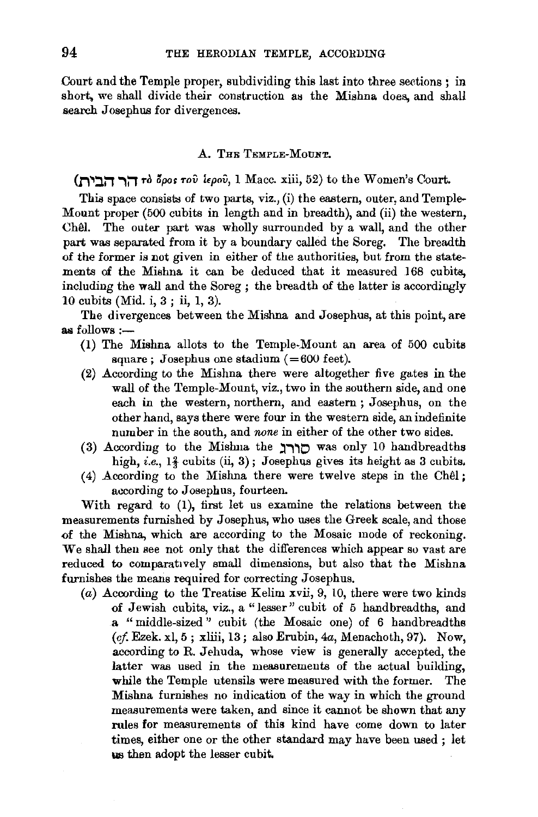Court and the Temple proper, subdividing this last into three seetions; in short, we shall divide their construction as the Mishna does, and shall search Josephus for divergences.

### A. THE TEMPLE-MOUNT.

{n.,:J.i1""li1'~";. IJpos *TOv 1£pov,* 1 Mace. xiii, 52) to the Women's C'.ourt.

This space consists of two parts, viz., (i) the eastern, outer, and Temple-Mount proper (500 cubits in length and in breadth), and (ii) the western, Chêl. The outer part was wholly surrounded by a wall, and the other part was separated from it by a boundary called the Soreg. The breadth of the former is not given in either of the authorities, but from the statements of the Mishna it can be deduced that it measured 168 cubits, including the wall and the Soreg; the breadth of the latter is accordingly 10 cubits (Mid. i, 3 ; ii, 1, 3).

The divergences between the Mishna and Josephus, at this point, are as follows  $:=$ 

- (1) The Mishna allots to the Temple-Mount an area of 500 cubits square; Josephus one stadium  $(=600 \text{ feet}).$
- $(2)$  According to the Mishna there were altogether five gates in the wall of the Temple-Mount, viz., two in the southern side, and one each in the western, northern, and eastern; Josephus, on the other hand, says there were four in the western side, an indefinite number in the south, and *none* in either of the other two sides.
- (3) According to the Mishna the קורג was only 10 handbreadths high, *i.e.*, 1<sup>3</sup> cubits (ii, 3); Josephus gives its height as 3 cubits,
- (4) According to the Mishna there were twelve steps in the Chêl; according to Josephus, fourteen.

With regard to (1), first let us examine the relations between the measurements furnished by Josephus, who uses the Greek scale, and those of the Mishna, which are according to the Mosaic mode of reckoning. We shall then see not only that the differences which appear so vast are reduced to comparatively small dimensions, but also that the Mishna furnishes the means required for correcting Josephus.

(a)  $Acording$  to the Treatise Kelim xvii, 9, 10, there were two kinds of Jewish cubits, viz., a "lesser" cubit of 5 handbreadths, and a "middle-sized" cubit (the Mosaic one) of 6 handbreadths *(cf* Ezek. xl, 5; xliii, 13; also Erubin, *4a,* Menachoth, 97). Now, according to R. Jehuda, whose view is generally accepted, the latter was used in the measurements of the actual building, while the Temple utensils were measured with the former. The Mishna furnishes no indication of the way in which the ground measurements were taken, and since it cannot be shown that any rules for measurements of this kind have come down to later times, either one or the other standard may have been used ; let us then adopt the lesser cubit.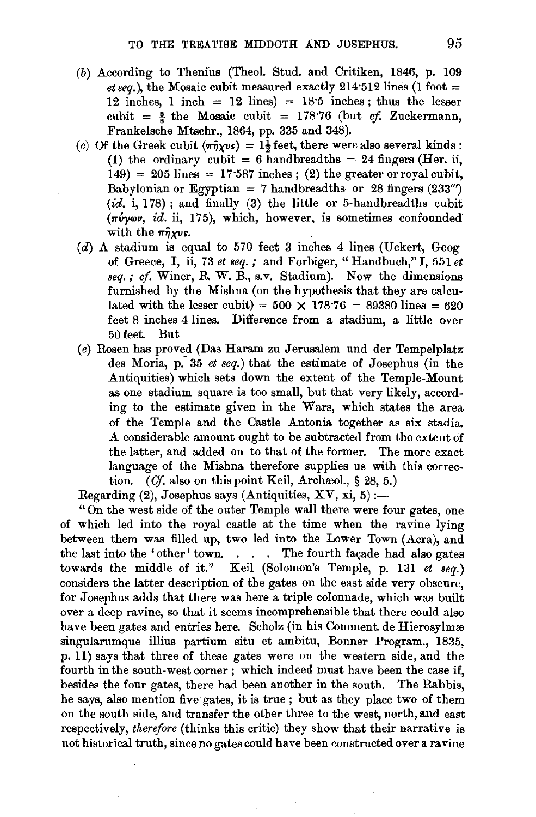- (b) According to Thenius (Theol. Stud. and Critiken, 1846, p. 109 *et seq.*), the Mosaic cubit measured exactly 214.512 lines (1 foot = 12 inches, 1 inch  $= 12$  lines)  $= 18.5$  inches; thus the lesser cubit =  $\frac{5}{5}$  the Mosaic cubit = 178.76 (but *cf. Zuckermann*, Frankelsche Mtschr., 1864, pp. 335 and 348).
- (c) Of the Greek cubit  $(\pi \hat{\eta} \chi \nu s) = 1\frac{1}{2}$  feet, there were also several kinds: (1) the ordinary cubit = 6 handbreadths = 24 fingers (Her. ii,  $149$  = 205 lines = 17.587 inches; (2) the greater or royal cubit, Babylonian or Egyptian = 7 handbreadths or 28 fingers  $(233'')$  $(id. i, 178)$ ; and finally  $(3)$  the little or 5-handbreadths cubit  $(\pi\acute{\nu}\gamma\omega\nu, id.$  ii, 175), which, however, is sometimes confounded with the  $\pi\hat{\eta}$ *yvs.*
- (d) A stadium is equal to 570 feet 3 inches 4 lines (Uckert, Geog of Greece, I, ii, 73 *et seq.;* and Forbiger, "Handbuch," I, 551 *et seq.; cf.* Winer, R. W. B., s.v. Stadium). Now the dimensions furnished by the Mishna (on the hypothesis that they are calculated with the lesser cubit) =  $500 \times 178.76 = 89380$  lines =  $620$ feet 8 inches 4 lines. Difference from a stadium, a little over 50feet. But
- (e) Rosen has proved (Das Haram zu Jerusalem und der Tempelplatz des Moria, p. 35 *et seq.*) that the estimate of Josephus (in the Antiquities) which sets down the extent of the Temple-Mount as one stadium square is too small, but that very likely, according to the estimate given in the Wars, which states the area of the Temple and the Castle Antonia together as six stadia. A considerable amount ought to be subtracted from the extent of the latter, and added on to that of the former. The more exact language of the Mishna therefore supplies us with this correction. *(Cf.* also on this point Keil, Archaeol., § 28, 5.)

Regarding  $(2)$ , Josephus says (Antiquities, XV, xi, 5) :-

"On the west side of the outer Temple wall there were four gates, one of which led into the royal castle at the time when the ravine lying between them was filled up, two led into the Lower Town (Acra), and the last into the 'other' town. . . . The fourth fagade had also gates towards the middle of it.'' Keil (Solomon's Temple, p. 131 *et seq.)*  considers the latter description of the gates on the east side very obscure, for Josephus adds that there was here a triple colonnade, which was built over a deep ravine, so that it seems incomprehensible that there could also have been gates and entries here. Scholz (in his Comment de Hierosylmæ singularumque illius partium situ et ambitu, Bonner Program., 1835, p. 11) says that three of these gates were on the western side, and the fourth in the south-west corner; which indeed must have been the case if, besides the four gates, there had been another in the south. The Rabbis, he says, also mention five gates, it is tme ; but as they place two of them on the south side, and transfer the other three to the west, north, and east respectively, *therefore* (thinks this critic) they show that their narrative is not historical truth, since no gates could have been constructed over a ravine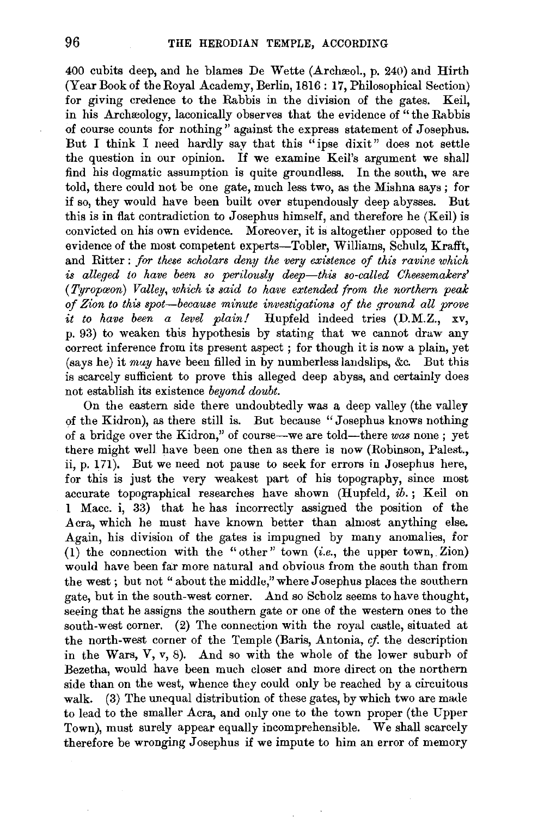400 cubits deep, and he blames De Wette (Archæol., p. 240) and Hirth (Year Book of the Royal Academy, Berlin, 1816 : 17, Philosophical Section) for giving credence to the Rabbis in the division of the gates. Keil, in his Archæology, laconically observes that the evidence of "the Rabbis of course counts for nothing" against the express statement of Josephus. But I think I need hardly say that this "ipse dixit" does not settle the question in our opinion. If we examine Keil's argument we shall find his dogmatic assumption is quite groundless. In the south, we are told, there could not be one gate, much less two, as the Mishna says ; for if so, they would have been built over stupendously deep abysses. But this is in flat contradiction to Josephus himself, and therefore he (Keil) is convicted on his own evidence. Moreover, it is altogether opposed to the evidence of the most competent experts-Tobler, Williams, Schulz, Krafft, and Ritter : *for these scholars deny the very existence of this ravine which*  is alleged to have been so perilously deep-this so-called Cheesemakers' *(Tyropaon) Valley, which is said to have extended from the northern peak of Zion to this spot-because minute investigations of the ground all prove it to have been a level plain!* Hupfeld indeed tries (D.M.Z., xv, p. 93) to weaken this hypothesis by stating that we cannot draw any correct inference from its present aspect ; for though it is now a plain, yet (says he) it *may* have been filled in by numberless landslips, &c. But this is scarcely sufficient to prove this alleged deep abyss, and certainly does not establish its existence *beyond doubt.* 

On the eastern side there undoubtedly was a deep valley (the valley of the Kidron), as there still is. But because "Josephus knows nothing of a bridge over the Kidron," of course-we are told-there *was* none ; yet there might well have been one then as there is now (Robinson, Palest., ii, p. 171). But we need not pause to seek for errors in Josephus here, for this is just the very weakest part of his topography, since most accurate topographical researches have shown (Hupfeld,  $ib.$ ; Keil on 1 Mace. i, 33) that he has incorrectly assigned the position of the .Acra, which he must have known better than almost anything else. Again, his division of the gates is impugned by many anomalies, for (l) the connection with the "other" town *(i.e.,* the upper town, Zion) would have been far more natural and obvious from the south than from the west; but not "about the middle," where Josephus places the southern gate, but in the south-west corner. And so Scholz seems to have thought, seeing that he assigns the southern gate or one of the western ones to the south-west corner. (2) The connection with the royal castle, situated at the north-west corner of the Temple (Baris, Antonia, *cf* the description in the Wars, V, v, 8). And so with the whole of the lower suburb of Bezetha, would have been much closer and more direct on the northern side than on the west, whence they could only be reached by a circuitous walk. (3) The unequal distribution of these gates, by which two are made to lead to the smaller Acra, and only one to the town proper (the Upper Town), must surely appear equally incomprehensible. We shall scarcely therefore be wronging Josephus if we impute to him an error of memory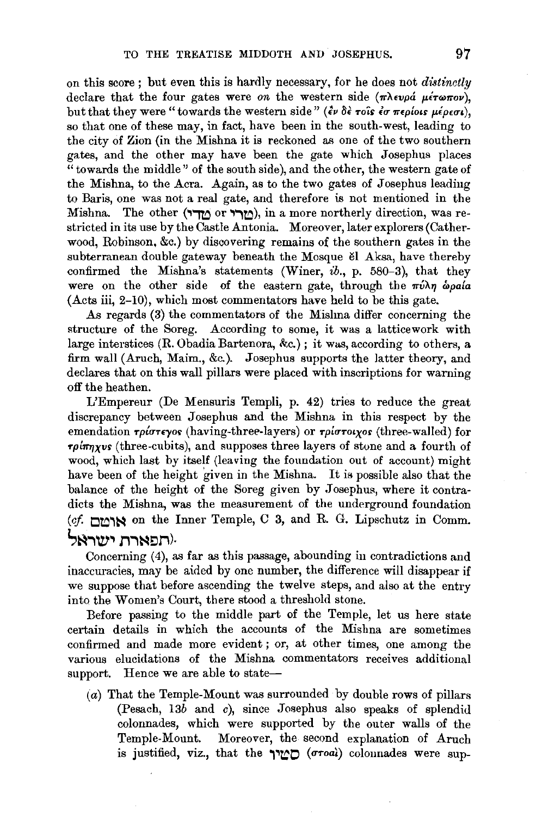on this score; but even this is hardly necessary, for he does not *distinctly* declare that the four gates were *on* the western side  $(\pi \lambda \epsilon \nu \rho \dot{a} \mu \dot{\epsilon} \tau \omega \pi \nu \dot{\rho})$ , but that they were "towards the western side" (εν δε τοις έσ περίοις μέρεσι), so that one of these may, in fact, have been in the south-west, leading to the city of Zion (in the Mishna it is reckoned as one of the two southern gates, and the other may have been the gate which Josephus places "towards the middle'' of the south side), and the other, the western gate of the Mishna, to the Acra. Again, as to the two gates of Josephus leading to Baris, one was not a real gate, and therefore is not mentioned in the Mishna. The other (מדרי or מדר), in a more northerly direction, was restricted in its use by the Castle Antonia. Moreover, later explorers (Catherwood, Robinson, &c.) by discovering remains of the southern gates in the subterranean double gateway beneath the Mosque el Aksa, have thereby confirmed the Mishna's statements (Winer, *ib.,* p. 580-3), that they were on the other side of the eastern gate, through the  $\pi \nu \lambda \eta$   $\omega \rho a/a$ (Acts iii, 2-10), which most commentators have held to be this gate.

As regards (3) the commentators of the Mishna differ concerning the structure of the Soreg. According to some, it was a latticework with large interstices (R. Obadia Bartenora, &c.) ; it was, according to others, a firm wall (Aruch, Maim., &c.). Josephus supports the latter theory, and declares that on this wall pillars were placed with inscriptions for warning off the heathen.

L'Empereur (De Mensuris Templi, p. 42) tries to reduce the great discrepancy between Josephus and the Mishna in this respect by the emendation *τρίστεγος* (having-three-layers) or *τρίστοιχος* (three-walled) for *Tpinnyvs* (three-cubits), and supposes three layers of stone and a fourth of wood, which last by itself (leaving the foundation out of account) might have been of the height given in the Mishna. It is possible also that the balance of the height of the Soreg given by Josephus, where it contradicts the Mishna, was the measurement of the underground foundation *(cf* t:lto,~ on the Inner Temple, C 3, and R. G. Lipschutz in Comm. תפארת ישראל<sup>).</sup>

Concerning (4), as far as this passage, abounding in contradictions and inaccuracies, may be aided by one number, the difference will disappear if we suppose that before ascending the twelve steps, and also at the entry into the Women's Court, there stood a threshold stone.

Before passing to the middle part of the Temple, let us here state certain details in which the accounts of the Mishna are sometimes confirmed and made more evident ; or, at other times, one among the various elucidations of the Mishna commentators receives additional support. Hence we are able to state-

 $(a)$  That the Temple-Mount was surrounded by double rows of pillars (Pesach,  $13\overline{b}$  and  $\overline{c}$ ), since Josephus also speaks of splendid colonnades, which were supported by the outer walls of the Temple-Mount. Moreover, the second explanation of Aruch is justified, viz., that the **מַיִּךְ** ( $\sigma$ roat) colonnades were sup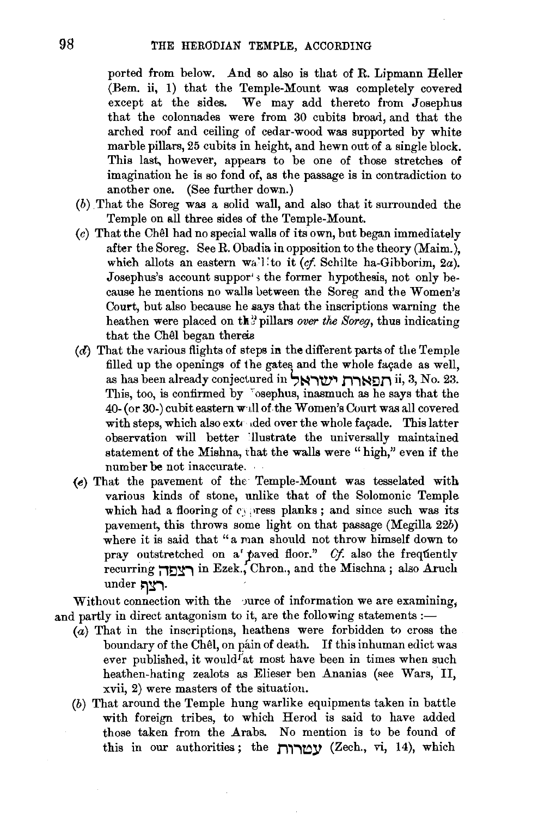ported from below. And so also is that of R. Lipmann Heller (Bem. ii, 1) that the Temple-Mount was completely covered except at the sides. We may add thereto from Josephus that the colonnades were from 30 cubits broad, and that the arched roof and ceiling of cedar-wood was supported by white marble pillars, 25 cubits in height, and hewn out of a single block. This last, however, appears to be one of those stretches of imagination he is so fond of, as the passage is in contradiction to another one. (See further down.)

- (b) That the Soreg was a solid wall, and also that it surrounded the Temple on all three sides of the Temple-Mount.
- $(c)$  That the Chell had no special walls of its own, but began immediately after the Soreg. SeeR. Obadia in opposition to the theory (Maim.), which allots an eastern wall to it (cf. Schilte ha-Gibborim, 2a). Josephus's account suppor's the former hypothesis, not only because he mentions no walls between the Soreg and the Women's Court, but also because he says that the inscriptions warning the heathen were placed on the pillars *over the Soreq*, thus indicating that the Chêl began thereis
- $(d)$  That the various flights of steps in the different parts of the Temple filled up the openings of the gates and the whole façade as well, as has been already conjectured in  $\bigtriangledown$ ון 11, 3, No. 23. This, too, is confirmed by 'osephus, inasmuch as he says that the 40- (or 30-) cubit eastern wall of the Women's Court was all covered with steps, which also extended over the whole façade. This latter observation will better :llustrate the universally maintained statement of the Mishna, that the walls were "high," even if the number be not inaccurate.
- (e) That the pavement of the· Temple-Mount was tesselated with various kinds of stone, unlike that of the Solomonic Temple which had a flooring of  $c$  eress planks; and since such was its pavement, this throws some light on that passage (Megilla 22b) where it is said that "a man should not throw himself down to pray outstretched on a' paved floor." *Cf* also the freqfiently recurring רצפה in Ezek., Chron., and the Mischna ; also Aruch ורצף

Without connection with the ource of information we are examining. and partly in direct antagonism to it, are the following statements :-

- $(a)$  That in the inscriptions, heathens were forbidden to cross the boundary of the Chêl, on pain of death. If this inhuman edict was ever published, it would at most have been in times when such heathen-hating zealots as Elieser ben Ananias (see Wars, II, xvii, 2) were masters of the situation.
- (b) That around the Temple hung warlike equipments taken in battle with foreign tribes, to which Herod is said to have added those taken from the Arabs. No mention is to be found of this in our authorities; the עמרות (Zech., vi, 14), which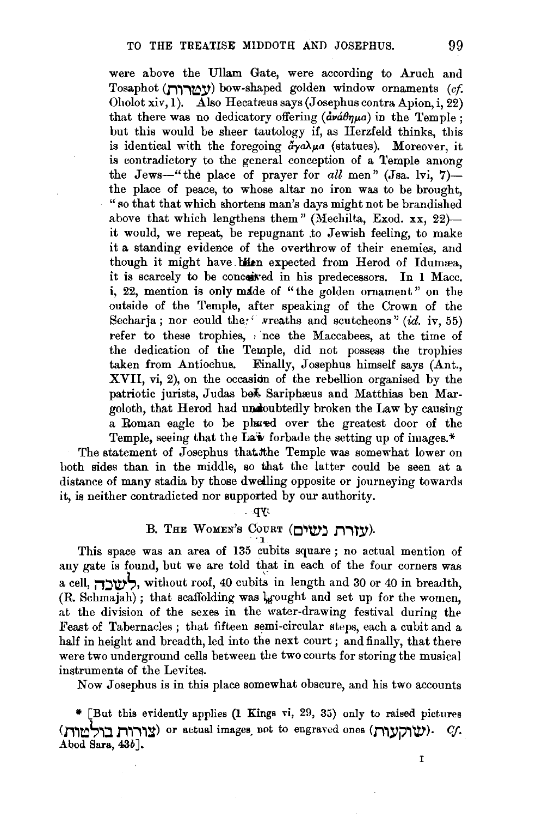were above the Ullam Gate, were according to Aruch and Tosa.phot (Ji~.,~l') bow-shaped golden window ornaments *(cf.*  Oholot xiv, 1). Also Hecatreus says (Josephus contra Apion, i, 22) that there was no dedicatory offering  $(\frac{dv \hat{\phi}}{\eta \mu a})$  in the Temple; but this would be sheer tautology if, as Herzfeld thinks, this is identical with the foregoing  $\vec{a}$ *ya* $\lambda \mu a$  (statues). Moreover, it is contradictory to the general conception of a Temple among the Jews-"the place of prayer for *all* men" (Jsa. lvi, 7)the place of peace, to whose altar no iron was to be brought, " so that that which shortens man's days might not be brandished above that which lengthens them" (Mechilta, Exod. xx, 22)it would, we repeat, be repugnant .to Jewish feeling, to make it a standing evidence of the overthrow of their enemies, and though it might have been expected from Herod of Idumea, it is scarcely to be concentred in his predecessors. In  $1$  Macc. i, 22, mention is only made of "the golden ornament" on the outside of the Temple, after speaking of the Crown of the Secharja; nor could the:  $v$  wreaths and scutcheons" (id. iv, 55) refer to these trophies, fince the Maccabees, at the time of the dedication of the Temple, did not possess the trophies taken from Antiochus. Finally, Josephus himself says (Ant., XVII, vi, 2), on the occasidn of the rebellion organised by the patriotic jurists, Judas bei. Sariphæus and Matthias ben Margoloth, that Herod had uwloubtedly broken the Law by causing a Roman eagle to be plared over the greatest door of the Temple, seeing that the Law forbade the setting up of images.\*

The statement of Josephus that the Temple was somewhat lower on both sides than in the middle, so that the latter could be seen at a distance of many stadia by those dweiling opposite or journeying towards it, is neither contradicted nor supported by our authority.

### $y_{\rm P}$ .

# B. THE WOMEN'S COURT (עזרת נשים).

This space was an area of 135 cubits square ; no actual mention of any gate is found, but we are told that in each of the four corners was a cell, לעבה, without roof, 40 cubits in length and 30 or 40 in breadth,  $(R. Schmain)$ ; that scaffolding was kyought and set up for the women, at the division of the sexes in the water-drawing festival during the Feast of Tabernacles; that fifteen semi-circular steps, each a cubit and a half in height and breadth, led into the next court; and finally, that there were two underground cells between the two courts for storing the musical instruments of the Levites.

Now Josephus is in this place somewhat obscure, and his two accounts

• [But this eTidently applies (1 Kings vi, 29, 35) only to raised pictures (שורה בולטות) or actual images. not to engraved ones (שורה בולטות). *Cf.* Abod Sara,  $43b$ ].

 $\mathbf I$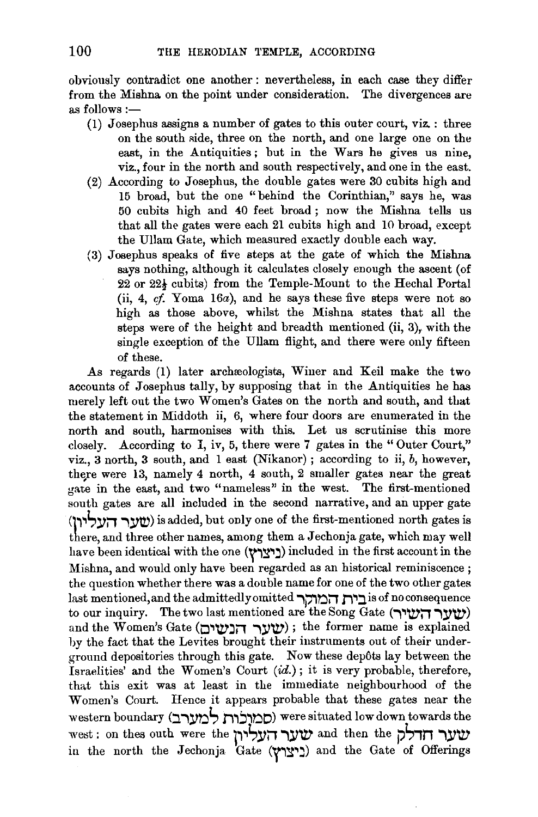obviously contradict one another : nevertheless, in each case they differ from the Mishna on the point under consideration. The divergences are as follows :-

- (1) Josephus assigns a number of gates to this outer court, viz. : three on the south side, three on the north, and one large one on the east, in the Antiquities; but in the Wars he gives us nine, viz., four in the north and south respectively, and one in the east.
- (2) According to Josephus, the double gates were 30 cubits high and 15 broad, but the one "behind the Corinthian," says he, was 50 cubits high and 40 feet broad; now the Mishna tells us that all the gates were each 21 cubits high and 10 broad, except the Ullam Gate, which measured exactly double each way.
- (3) Josephus speaks of five steps at the gate of which the Mishna says nothing, although it calculates closely enough the ascent (of  $22$  or  $22\frac{1}{2}$  cubits) from the Temple-Mount to the Hechal Portal (ii, 4,  $cf.$  Yoma 16a), and he says these five steps were not so high as those above, whilst the Mishna states that all the steps were of the height and breadth mentioned (ii, 3), with the single exception of the Ullam flight, and there were only fifteen of these.

As regards (1) later archeologists, Winer and Keil make the two accounts of Josephus tally, by supposing that in the Antiquities he has merely left out the two Women's Gates on the north and south, and that the statement in Middoth ii, 6, where four doors are enumerated in the north and south, harmonises with this. Let us scrutinise this more closely. According to I, iv, 5, there were 7 gates in the " Outer Court," viz., 3 north, 3 south, and **1** east (Nikanor) ; according to ii, *b,* however, there were 13, namely 4 north, 4 south, 2 smaller gates near the great gate in the east, and two "nameless" in the west. The first-mentioned south gates are all included in the second narrative, and an upper gate (**שער העליון)** is added, but only one of the first-mentioned north gates is there, and three other names, among them a Jechonja gate, which may well have been identical with the one (\",~'~:l) included in the first account in the Mishna, and would only have been regarded as an historical reminiscence ; the question whether there was a double name for one of the two other gates last mentioned, and the admittedly omitted **"'lj?'\r.lil J"1'1::J.is** of no consequence to our inquiry. The two last mentioned are the Song Gate ("**עיצר היינור**") and the Women's Gate (שער הנשים); the former name is explained by the fact that the Levites brought their instruments out of their underground depositories through this gate. Now these dep6ts lay between the Israelities' and the Women's Court (id.); it is very probable, therefore, that this exit was at least in the immediate neighbourhood of the Women's Court. Hence it appears probable that these gates near the western boundary **(::J."'ll'r.lt, M,j,t)l:))** were situated low down towards the west : on thes outh were the **individual reduces** and then the **individual** in the north the Jechonja Gate (בְיצורץ) and the Gate of Offerings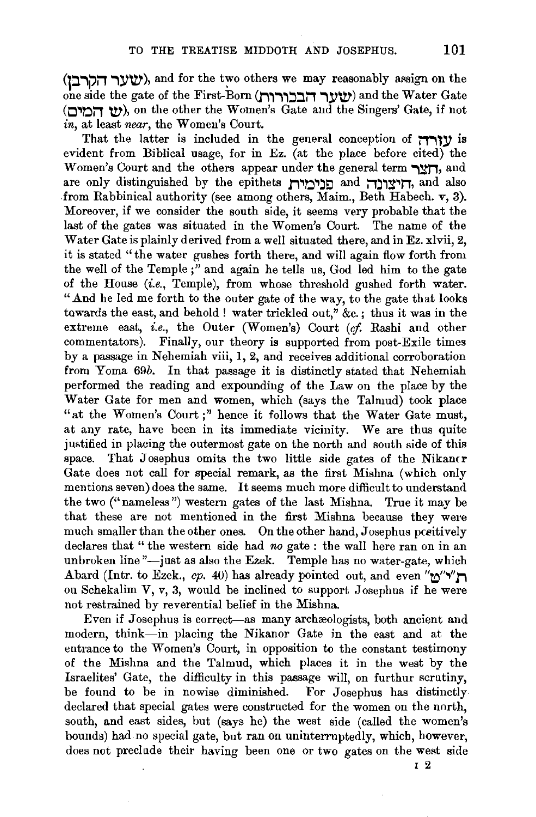(**עַער הקרב**ן), and for the two others we may reasonably assign on the one side the gate of the First-Born (Jj~.,~~::l:-l **.,j.''\l:)')** and the Water Gate **(Cl',Oi1 'tl:)'),** on the other the Women's Gate and the Singers' Gate, if not *in,* at least *near,* the Women's Court.

That the latter is included in the general conception of  $\mathbf{r}$  is evident from Biblical usage, for in Ez. (at the place before cited) the Women's Court and the others appear under the general term  $\nabla$ y $\Box$ , and are only distinguished by the epithets record and reversion, and also from Rabbinical authority (see among others, Maim., Beth Habech. v, 3). Moreover, if we consider the south side, it seems very probable that the last of the gates was situated in the Women's Court. The name of the Water Gate is plainly derived from a well situated there, and in Ez. xlvii, 2, it is stated "the water gushes forth there, and will again flow forth from the well of the Temple;" and again he tells us, God led him to the gate of the House *(i.e.,* Temple), from whose threshold gushed forth water. "And he led me forth to the outer gate of the way, to the gate that looks towards the east, and behold ! water trickled out," &c. ; thus it was in the extreme east, *i.e.,* the Outer (Women's) Court *(cf* Rashi and other commentators). Finally, our theory is supported from post-Exile times by a passage in Nehemiah viii, 1, 2, and receives additional corroboration from Yoma 69b. In that passage it is distinctly stated that Nehemiah performed the reading and expounding of the Law on the place by the Water Gate for men and women, which (says the Talmud) took place "at the Women's Court;" hence it follows that the Water Gate must, at any rate, have been in its immediate vicinity. We are thus quite justified in placing the outermost gate on the north and south side of this space. That Josephus omits the two little side gates of the Nikancr Gate does not call for special remark, as the first Mishna (which only mentions seven) does the same. It seems much more difficult to understand the two ("nameless") western gates of the last Mishna. True it may be that these are not mentioned in the first Mishna because they were much smaller than the other ones. On the other hand, Josephus pcsitively declares that " the western side had *no* gate : the wall here ran on in an unbroken line"-just as also the Ezek. Temple has no water-gate, which Abard (Intr. to Ezek., *cp.* 40) has already pointed out, and even " $\gamma''$ " on Schekalim V, v, 3, would be inclined to support Josephus if he were not restrained by reverential belief in the Mishna.

Even if Josephus is correct-as many archaeologists, both ancient and modern, think-in placing the Nikanor Gate in the east and at the entrance to the Women's Court, in opposition to the constant testimony of the Mishna and the Talmud, which places it in the west by the Israelites' Gate, the difficulty in this passage will, on furthur scrutiny, be found to be in nowise diminished. For Josephus has distinctly declared that special gates were constructed for the women on the north, south, and east sides, but (says he) the west side (called the women's bounds) had no special gate, but ran on uninterruptedly, which, however, does not preclude their having been one or two gates on the west side

 $12$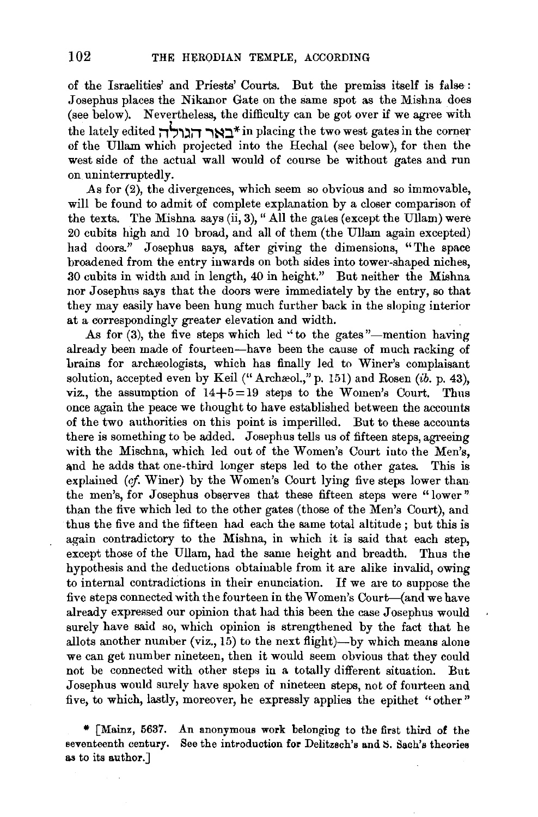of the Israelities' and Priests' Courts. But the premiss itself is false: ,Josephus places the Nikanor Gate on the same spot as the Mishna does (see below). Nevertheless, the difficulty can be got over if we agree with the lately edited וגולה in placing the two west gates in the corner of the Ullam which projected into the Hechal (see below), for then the west side of the actual wall would of course be without gates and run on uninterruptedly.

As for (2), the divergences, which seem so obvious and so immovable, will be found to admit of complete explanation by a closer comparison of the texts. The Mishna says  $(ii, 3)$ , "All the gates (except the Ullam) were 20 cubits high and 10 broad, and all of them (the Ullam again excepted) had doors." Josephus says, after giving the dimensions, "The space broadened from the entry inwards on both sides into tower-shaped niches, 30 cubits in width and in length, 40 in height." But neither the Mishna nor Josephus says that the doors were immediately by the entry, so that they may easily have been hung much further back in the sloping interior at a correspondingly greater elevation and width.

As for  $(3)$ , the five steps which led "to the gates"—mention having already been made of fourteen-have been the cause of much racking of brains for archaeologists, which has finally led to Winer's complaisant solution, accepted even by Keil ("Archæol.," p. 151) and Rosen ( $i\overline{b}$ . p. 43), viz., the assumption of  $14+5=19$  steps to the Women's Court. Thus once again the peace we thought to have established between the accounts of the two authorities on this point is imperilled. But to these accounts there is something to be added. Josephus tells us of fifteen steps, agreeing with the Mischna, which led out of the Women's Court into the Men's, and he adds that one-third longer steps led to the other gates. This is explained *(cf* Winer) by the Women's Court lying five steps lower than the men's, for Josephus observes that these fifteen steps were "lower" than the five which led to the other gates (those of the Men's Court), and thus the five and the fifteen had each the same total altitude ; but this is again contradictory to the Mishna, in which it is said that each step, except those of the Ullam, had the same height and breadth. Thus the hypothesis and the deductions obtainable from it are alike invalid, owing to internal contradictions in their enunciation. If we are to suppose the five steps connected with the fourteen in theW omen's Court-( and we have already expressed our opinion that had this been the case Josephus would surely have said so, which opinion is strengthened by the fact that he allots another number (viz., 15) to the next flight)-by which means alone we can get number nineteen, then it would seem obvious that they could not be connected with other steps in a totally different situation. But Josephus would surely have spoken of nineteen steps, not of fourteen and five, to which, lastly, moreover, he expressly applies the epithet "other"

\* [Mainz, 5637. An anonymous work belonging to the first third of the seventeenth century. See the introduction for Delitzsch's and S. Sach's theories as to its author.]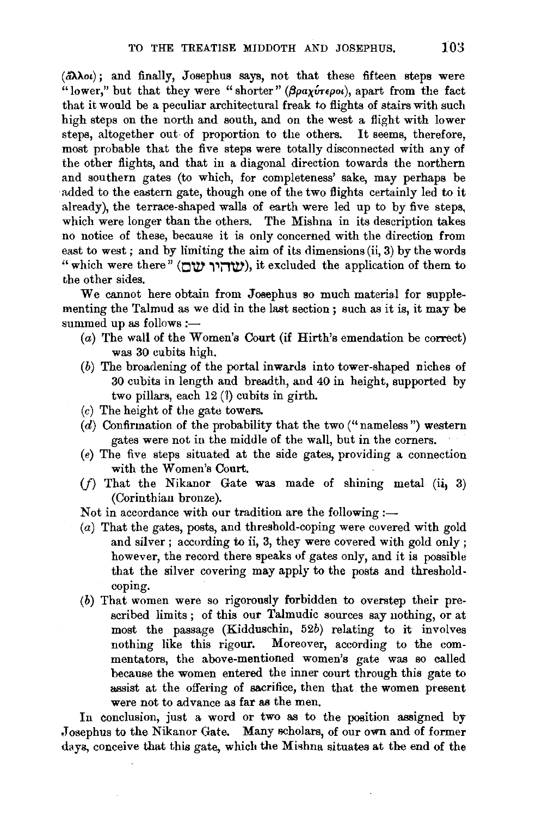$(\partial \lambda \lambda \omega)$ ; and finally, Josephus says, not that these fifteen steps were "lower," but that they were "shorter" ( $\beta \rho a \chi b$ repot), apart from the fact that it would be a peculiar architectural freak to flights of stairs with such high steps on the north and south, and on the west a flight with lower steps, altogether out of proportion to the others. It seems, therefore, most probable that the five steps were totally disconnected with any of the other flights, and that in a diagonal direction towards the northern and southern gates (to which, for completeness' sake, may perhaps be added to the eastern gate, though one of the two flights certainly led to it already), the terrace-shaped walls of earth were led up to by five steps, which were longer than the others. The Mishna in its description takes no notice of these, because it is only concerned with the direction from east to west; and by limiting the aim of its dimensions (ii, 3) by the words "which were there" (שהוי שם), it excluded the application of them to the other sides.

We cannot here obtain from Josephus so much material for supplementing the Talmud as we did in the last section; such as it is, it may be summed up as follows : $-$ 

- $(a)$  The wall of the Women's Court (if Hirth's emendation be correct) was 30 cubits high.
- (b) The broadening of the portal inwards into tower-shaped niches of 30 cubits in length and breadth, and 40 in height, supported by two pillars, each 12(?) cubits in girth.
- (c) The height ot the gate towers.
- $(d)$  Confirmation of the probability that the two ("nameless") western gates were not in the middle of the wall, but in the corners.
- (e) The five steps situated at the side gates, providing a connection with the Women's Court.
- (f) That the Nikanor Gate was made of shining metal (ii, 3) (Corinthian bronze).
- Not in accordance with our tradition are the following:-
- (a) That the gates, posts, and threshold-coping were covered with gold and silver; according to ii, 3, they were covered with gold only; however, the record there speaks of gates only, and it is possible that the silver covering may apply to the posts and thresholdcoping.
- (b) That women were so rigorously forbidden to overstep their prescribed limits ; of this our Talmudic sources say nothing, or at most the passage (Kidduschin, 52b) relating to it involves nothing like this rigour. Moreover, according to the commentators, the above-mentioned women's gate was so called because the women entered the inner court through this gate to assist at the offering of sacrifice, then that the women present were not to advance as far as the men.

In conclusion, just a word or two as to the position assigned by .Tosephus to the Nikanor Gate. Many scholars, of our own and of former days, conceive that this gate, which the Mishna situates at the end of the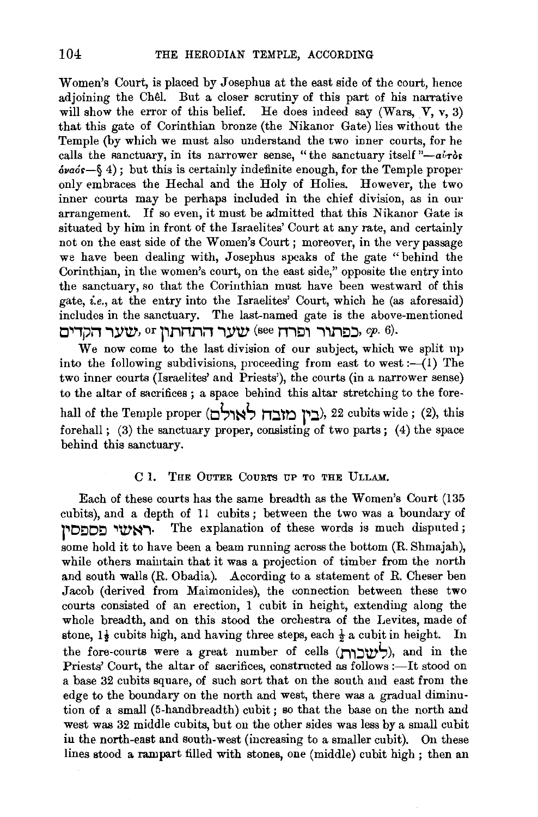Women's Court, is placed by Josephus at the east side of the court, hence adjoining the Chêl. But a closer scrutiny of this part of his narrative will show the error of this belief. He does indeed say (Wars,  $V, v, 3$ ) that this gate of Corinthian bronze (the Nikanor Gate) lies without the Temple (by which we must also understand the two inner courts, for he calls the sanctuary, in its narrower sense, "the sanctuary itself "- $a\dot{v}$ ròs  $\delta\nu\alpha\delta s-\delta$  4); but this is certainly indefinite enough, for the Temple proper only embraces the Hechal and the Holy of Holies. However, the two inner courts may be perhaps included in the chief division, as in our arrangement. If so even, it must be admitted that this Nikanor Gate is situated by him in front of the Israelites' Court at any rate, and certainly not on the east side of the Women's Court ; moreover, in the very passage we have been dealing with, Josephus speaks of the gate "behind the Corinthian, in the women's court, on the east side," opposite the entry into the sanctuary, so that the Corinthian must have been westward of this gate, *i.e.,* at the entry into the Israelites' Court, which he (as aforesaid) includes in the sanctuary. The last-named gate is the above-mentioned O~ipi1 -,y'l,l1, or **1,!iM.l"1i1** -,y'l,l1 (see **n-,o, -,,!io:J,** *cp.* 6).

We now come to the last division of our subject, which we split up into the following subdivisions, proceeding from east to west  $:-(1)$  The two inner courts (Israelites' and Priests'), the courts (in a narrower sense) to the altar of sacrifices ; a space behind this altar stretching to the forehall of the Temple proper (בין מובח לאולם), 22 cubits wide ; (2), this forehall; (3) the sanctuary proper, consisting of two parts; (4) the space behind this sanctuary.

### C 1. THE OuTER CouRTS UP To THE ULLAM.

Each of these courts has the same breadth as the Women's Court (135 cubits), and a depth of 11 cubits; between the two was a boundary of ראשי פספסין. The explanation of these words is much disputed; some hold it to have been a beam running across the bottom (R. Shmajah), while others maintain that it was a projection of timber from the north and south walls  $(R. Obadia)$ . According to a statement of  $R.$  Cheser ben Jacob (derived from Maimonides), the connection between these two courts consisted of an erection, 1 cubit in height, extending along the whole breadth, and on this stood the orchestra of the I.evites, made of stone,  $1\frac{1}{2}$  cubits high, and having three steps, each  $\frac{1}{2}$  a cubit in height. In the fore-courts were a great number of cells (לעטבות), and in the Priests' Court, the altar of sacrifices, constructed as follows :- It stood on a base 32 cubits square, of such sort that on the south and east from the edge to the boundary on the north and west, there was a gradual diminution of a small (5-handbreadth) cubit; so that the base on the north and west was 32 middle cubits, but on the other sides was less by a small cubit in the north-east and south-west (increasing to a smaller cubit). On these lines stood a rampart filled with stones, one (middle) cubit high; then an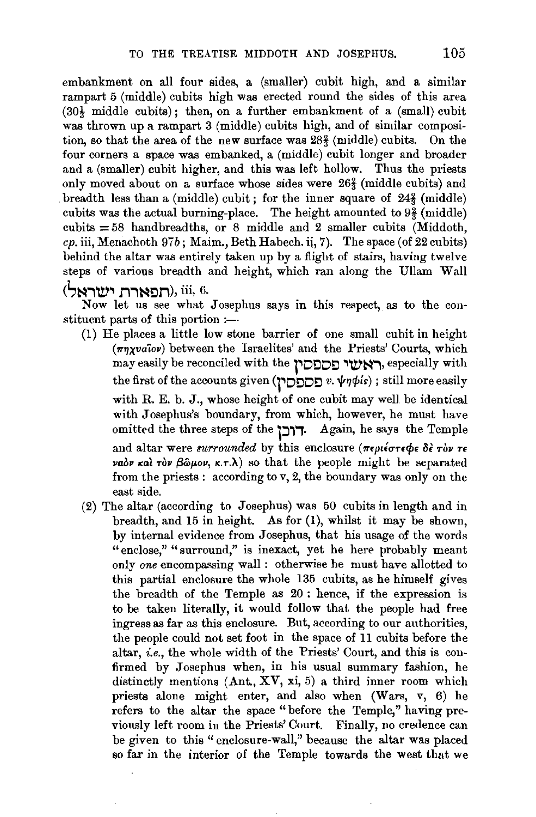embankment on all four sides, a (smaller) cubit high, and a similar rampart 5 (middle) cubits high was erected round the sides of this area  $(30\frac{1}{3})$  middle cubits); then, on a further embankment of a (small) cubit was thrown up a rampart 3 (middle) cubits high, and of similar composition, so that the area of the new surface was  $28\frac{2}{3}$  (middle) cubits. On the four corners a space was embanked, a (middle) cubit longer and broader and a (smaller) cubit higher, and this was left hollow. Thus the priests only moved about on a surface whose sides were  $26\frac{2}{3}$  (middle cubits) and breadth less than a (middle) cubit; for the inner square of  $24\frac{2}{3}$  (middle) cubits was the actual burning-place. The height amounted to  $9\frac{2}{3}$  (middle) cubits  $=58$  handbreadths, or 8 middle and 2 smaller cubits (Middoth, *cp.* iii, Menachoth 97b; Maim., BethHabech. ij, 7). The space (of 22 cubits) behind the altar was entirely taken up by a flight of stairs, having twelve steps of various breadth and height, which ran along the Ullam Wall (תפארת ישראל), iii, 6.

Now let us see what Josephus says in this respect, as to the constituent parts of this portion: $-$ 

- $(1)$  He places a little low stone barrier of one small cubit in height ( $\pi\eta\chi\nu a\overline{\iota}\nu\nu$ ) between the Israelites' and the Priests' Courts, which may easily be reconciled with the ראשי פספסין, especially with the first of the accounts given ( $\Box$ ספֿסין)  $v.$   $\psi$  $\eta\phi$ *is*); still more easily with R. E. b. J., whose height of one cubit may well be identical with Josephus's boundary, from which, however, he must have omitted the three steps of the **j:J,,.** Again, he says the Temple and altar were *surrounded* by this enclosure (περιέστεφε δε τον τε *va* $\delta \nu$  *kal rov*  $\beta \hat{\omega} \mu \omega$ *, k.r.* $\lambda$ ) so that the people might be separated from the priests : according to  $v$ , 2, the boundary was only on the east side.
- (2) The altar (according to Josephus) was 50 cubits in length and in breadth, and 15 in height. As for (1), whilst it may be shown, by internal evidence from Josephus, that his usage of the words "enclose," "surround," is inexact, yet he here probably meant only *one* encompassing wall : otherwise he must have allotted to this partial enclosure the whole 135 cubits, as he himself gives the breadth of the Temple as 20 ; hence, if the expression is to be taken literally, it would follow that the people had free ingress as far as this enclosure. But, according to our authorities, the people could not set foot in the space of 11 cubits before the altar, *i.e.,* the whole width of the Priests' Court, and this is confirmed by Josephus when, in his usual summary fashion, he distinctly mentions (Ant., XV, xi, 5) a third inner room which priests alone might enter, and also when (Wars, v, 6) he refers to the altar the space "before the Temple," having previously left room in the Priests' Court. Finally, no credence can be given to this "enclosure-wall," because the altar was placed so far in the interior of the Temple towards the west that we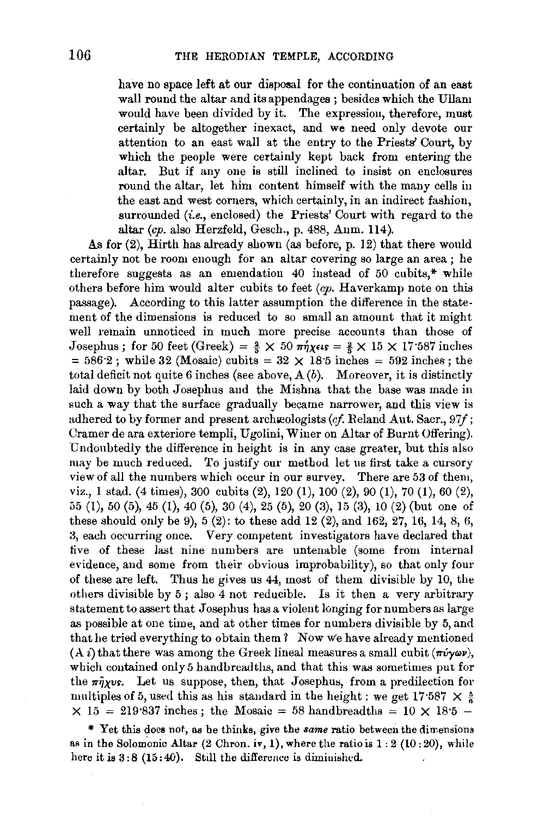have no space left at our disposal for the continuation of an east wall round the altar and its appendages ; besides which the Ullam would have been divided by it. The expression, therefore, must certainly be altogether inexact, and we need only devote our attention to an east wall at the entry to the Priests' Court, by which the people were certainly kept back from entering the altar. But if any one is still inclined to insist on enclosures round the altar, let him content himself with the many cells in the east and west corners, which certainly, in an indirect fashion, surrounded *(i.e.,* enclosed) the Priests' Court with regard to the altar *(cp.* also Herzfeld, Gesch., p. 488, Anm. 114).

As for (2), Hirth has already shown (as before, p. 12) that there would certainly not be room enough for an altar covering so large an area ; he therefore suggests as an emendation 40 instead of 50 cubits,\* while others before him would alter cubits to feet *(cp.* Haverkamp note on this passage). According to this latter assumption the difference in the statement of the dimensions is reduced to so small an amount that it might well remain unnoticed in much more precise accounts than those of Josephus; for 50 feet (Greek) =  $\frac{3}{5} \times 50 \pi \eta \chi \epsilon \kappa s = \frac{3}{5} \times 15 \times 17.587$  inches  $= 586.2$ ; while 32 (Mosaic) cubits  $= 32 \times 18.5$  inches  $= 592$  inches; the total deficit not quite 6 inches (see above,  $A(b)$ . Moreover, it is distinctly laid down by both Josephus and the Mishna that the base was made in such a way that the surface gradually became narrower, and this view is adhered to by former and present archieologists (cf. Reland Aut. Sacr., 97f; Cramer de ara exteriore templi, Ugolini, Winer on Altar of Burnt Offering). Undoubtedly the difference in height is in any case greater, but this also may be much reduced. To justify our method let us first take a cursory view of all the numbers which occur in our survey. There are 53 of them, viz., 1 stad. (4 times), 300 cubits (2), 120 (1), lOO (2), 90 (1), 70 (1), 60 (2), 55 (1), 50 (5), 45 (1), 40 (5), 30 (4), 25 (5), 20 (3), 15 (3), 10 (2) (but one of these should only be 9), 5 (2): to these add 12 (2), and 162, 27, 16, 14, 8, 6, 3, each occurring once. Very competent investigators have declared that five of these last nine numbers are untenable (some from internal evidence, and some from their obvious improbability), so that only four of these are left. Thus he gives us 44, most of them divisible by 10, the others divisible by 5 ; also 4 not reducible. Is it then a very arbitrary statement to assert that Josephus has a violent longing for numbers as large as possible at one time, and at other times for numbers divisible by 5, and that he tried everything to obtain them ? Now we have already mentioned  $(A_i)$  that there was among the Greek lineal measures a small cubit  $(\pi i \gamma \omega \nu)$ , which contained only 5 handbreadths, and that this was sometimes put for the  $\pi \hat{\eta} \chi$ us. Let us suppose, then, that Josephus, from a predilection for nultiples of 5, used this as his standard in the height : we get 17<sup>-587</sup>  $\times \frac{8}{6}$ multiples of 5, used this as his standard in the height: we get  $17.587 \times \frac{5}{6}$ <br> $\times 15 = 219.837$  inches; the Mosaic = 58 handbreadths =  $10 \times 18.5$  -

\* Yet this does not, as be thinks, give the *same* ratio between the dimensions as in the Solomonic Altar  $(2 \text{ Chron. iv}, 1)$ , where the ratio is  $1:2$   $(10:20)$ , while here it is  $3:8$  (15:40). Still the difference is diminished.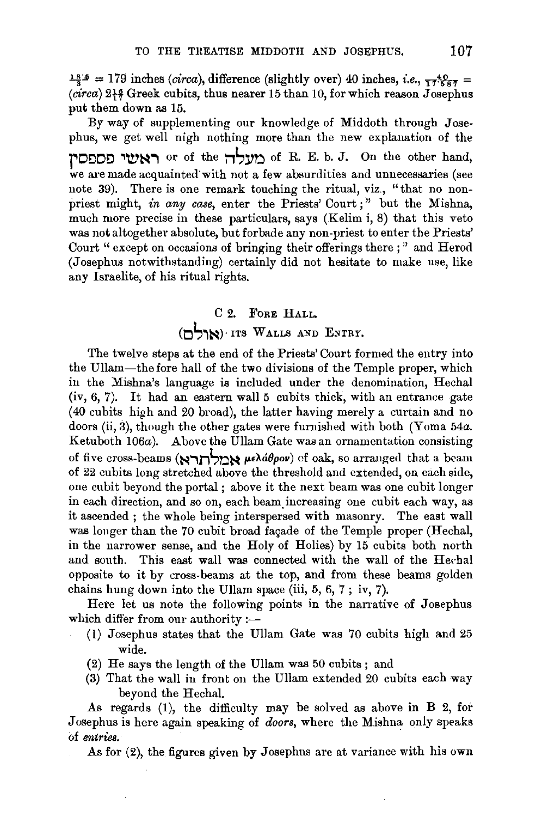$\frac{18.5}{3}$  = 179 inches *(circa)*, difference (slightly over) 40 inches, *i.e.*,  $\frac{49.5}{17.587}$  = *(circa)*  $2\frac{16}{7}$  Greek cubits, thus nearer 15 than 10, for which reason Josephus put them down as 15.

By way of supplementing our knowledge of Middoth through Josephus, we get well nigh nothing more than the new explanation of the **l"DtlOO** '~'1%7~"'1 or of the **ilS.l.'O** of R. E. b. J. On the other hand, we are made acquainted with not a few absurdities and unnecessaries (see note 39). There is one remark touching the ritual, viz., "that no nonpriest might, *in any case,* enter the Priests' Court;" but the Mishna, much more precise in these particulars, says (Kelim i, 8) that this veto was not altogether absolute, but forbade any non-priest to enter the Priests' Court " except on occasions of bringing their offerings there ; " and Herod (Josephus notwithstanding) certainly did not hesitate to make use, like any Israelite, of his ritual rights.

### c 2. FORE HALL.

# (בארלם)· ITS WALLS AND ENTRY.

The twelve steps at the end of the Priests' Court formed the entry into the Ullam-thefore hall of the two divisions of the Temple proper, which in the Mishna's language is included under the denomination, Hechal (iv, 6, 7). It had an eastern wall 5 cubits thick, with an entrance gate (40 cubits high and 20 broad), the latter having merely a curtain and no doors (ii, 3), though the other gates were furnished with both (Yoma 54a. Ketuboth 106a). Above the Ullam Gate was an ornamentation consisting of five cross-beams (**NITI) μελάθρον**) of oak, so arranged that a beam of 22 cubits long stretched above the threshold and extended, on each side, one cubit beyond the portal; above it the next beam was one cubit longer in each direction, and so on, each beam increasing one cubit each way, as it ascended ; the whole being interspersed with masonry. The east wall was longer than the 70 cubit broad fagade of the Temple proper (Hechal, in the narrower sense, and the Holy of Holies) by 15 cubits both north and south. This east wall was connected with the wall of the Hechal opposite to it by cross-beams at the top, and from these beams golden chains hung down into the Ullam space (iii, 5, 6, 7 ; iv, 7).

Here let us note the following points in the narrative of Josephus which differ from our authority :-

- (1) Josephus states that the Ullam Gate was 70 cubits high and 25 wide.
- $(2)$  He says the length of the Ullam was 50 cubits; and
- (3) That the wall in front on the Ullam extended 20 cubits each way beyond the Hechal.

As regards (1), the difficulty may be solved as above in B 2, for Josephus is here again speaking of *doors*, where the Mishna only speaks of *entries.* 

As for  $(2)$ , the figures given by Josephus are at variance with his own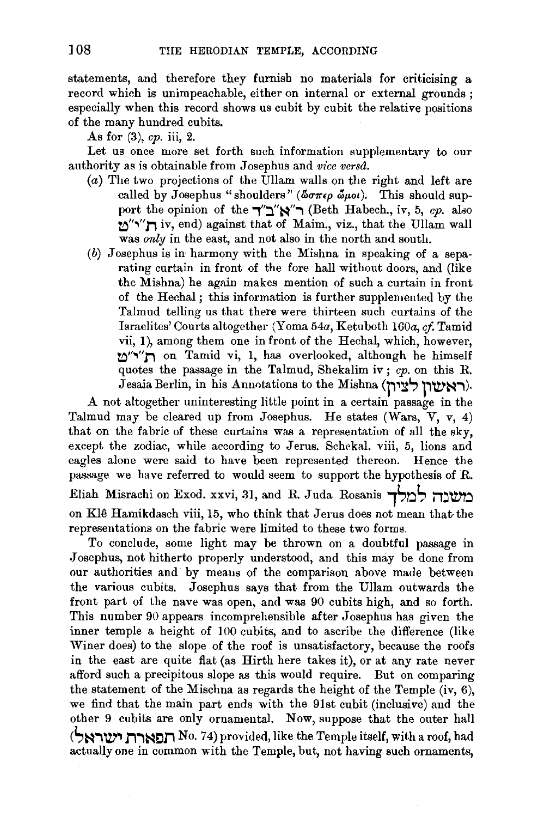statements, and therefore they furnish no materials for criticising a record which is unimpeachable, either on internal or external grounds; especially when this record shows us cubit by cubit the relative positions of the many hundred cubits.

As for (3), *cp.* iii, 2.

Let us once more set forth such information supplementary to our authority as is obtainable from Josephus and *vice versd.* 

- (a) The two projections of the Ullam walls on the right and left are called by Josephus "shoulders" ( $\delta \sigma \pi \epsilon \rho \ \tilde{\phi} \mu \omega$ ). This should support the opinion of the  $\mathbf{y}'' \mathbf{k}'' \mathbf{n}$  (Beth Habech., iv, 5, *cp.* also ~","n *iv,* end) against that of Maim., viz., that the Ullam wall was *only* in the east, and not also in the north and south.
- $(b)$  Josephus is in harmony with the Mishna in speaking of a separating curtain in front of the fore hall without doors, and (like the Mishna) he again makes mention of such a curtain in front of the Hechal ; this information is further supplemented by the Talmud telling us that there were thirteen such curtains of the Israelites' Courts altogether (Yoma 54a, Ketuboth *l60a, cf* Tamid vii, 1), among them one in front of the Hechal, which, however, ~'''I"M on Tamid vi, 1, has overlooked, although he himself quotes the passage in the Talmud, Shekalim iv; *cp.* on this R. Jesaia Berlin, in his Annotations to the Mishna (ראשון לציון).

A not altogether uninteresting little point in a certain passage in the Talmud may be cleared up from Josephus. He states (Wars, V, v, 4) that on the fabric of these curtains was a representation of all the sky, except the zodiac, while according to Jerus. Schekal. viii, 5, lions and eagles alone were said to have been represented thereon. Hence the passage we have referred to would seem to support the hypothesis of R. Eliah Misrachi on Exod. xxvi, 31, and R. J uda Rosanis **1SoS i1j'\V'O**  on Klê Hamikdasch viii, 15, who think that Jerus does not mean that the representations on the fabric were limited to these two forms.

To conclude, some light may be thrown on a doubtful passage in .J osephus, not hitherto properly understood, and this may be done from our authorities and by means of the comparison above made between the various cubits. J osephus says that from the Ullam outwards the front part of the nave was open, and was 90 cubits high, and so forth. This number 90 appears incomprehensible after Josephus has given the inner temple a height of lOO cubits, and to ascribe the difference (like 'Viner does) to the slope of the roof is unsatisfactory, because the roofs in the east are quite flat (as Hirth here takes it), or at any rate never afford such a precipitous slope as this would require. But on comparing the statement of the Mischna as regards the height of the Temple (iv, 6), we find that the main part ends with the 9lst cubit (inclusive) and the other 9 cubits are only ornamental. Now, suppose that the outer hall <S~""''IV''I M""'~OM No. 7 4) provided, like the Temple itself, with a roof, had actually one in common with the Temple, but, not having such ornaments,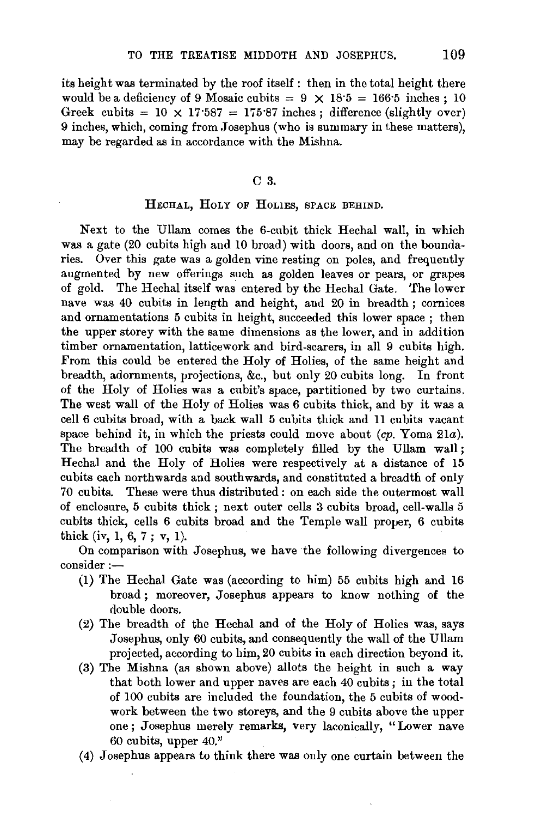its height was terminated by the roof itself : then in the total height there would be a deficiency of 9 Mosaic cubits = 9  $\times$  18°5 = 166°5 inches; 10 Greek cubits =  $10 \times 17.587 = 175.87$  inches; difference (slightly over) 9 inches, which, coming from Josephus (who is summary in these matters), may be regarded as in accordance with the Mishna.

# c 3.

## HECHAL, HoLY OF HoLIES, SPACE BEHIND.

Next to the Ullam comes the 6-cubit thick Hechal wall, in which was a gate (20 cubits high and 10 broad) with doors, and on the boundaries. Over this gate was a golden vine resting on poles, and frequently augmented by new offerings such as golden leaves or pears, or grapes of gold. The Hechal itself was entered by the Hechal Gate. The lower nave was 40 cubits in length and height, and 20 in breadth; cornices and ornamentations 5 cubits in height, succeeded this lower space ; then the upper storey with the same dimensions as the lower, and in addition timber ornamentation, latticework and bird-scarers, in all 9 cubits high. From this could be entered the Holy of Holies, of the same height and breadth, adornments, projections, &c., but only 20 cubits long. In front of the Holy of Holies was a cubit's space, partitioned by two curtains, The west wall of the Holy of Holies was 6 cubits thick, and by it was a cell 6 cubits broad, with a back wall 5 cubits thick and 11 cubits vacant space behind it, in which the priests could move about *(cp. Yoma 21a)*. The breadth of 100 cubits was completely filled by the Ullam wall; Hechal and the Holy of Holies were respectively at a distance of 15 cubits each northwards and southwards, and constituted a breadth of only 70 cubits. These were thus distributed: on each side the outermost wall of enclosure, 5 cubits thick; next outer cells 3 cubits broad, cell-walls 5 cubits thick, cells 6 cubits broad and the Temple wall proper, 6 cubits thick (iv, 1, 6, 7 ; v, 1).

On comparison with Josephus, we have the following divergences to consider:-

- (1) The Hechal Gate was (according to him) 55 cubits high and 16 broad; moreover, Josephus appears to know nothing of the double doors.
- (2) The breadth of the Hechal and of the Holy of Holies was, says Josephus, only 60 cubits, and consequently the wall of the Ullam projected, according to him, 20 cubits in each direction beyond it.
- (3) The Mishna (as shown above) allots the height in such a way that both lower and upper naves are each 40 cubits; in the total of 100 cubits are included the foundation, the 5 cubits of woodwork between the two storeys, and the 9 cubits above the upper one; Josephus merely remarks, very laconically, "Lower nave 60 cubits, upper 40."
- (4) Josephus appears to think there was only one curtain between the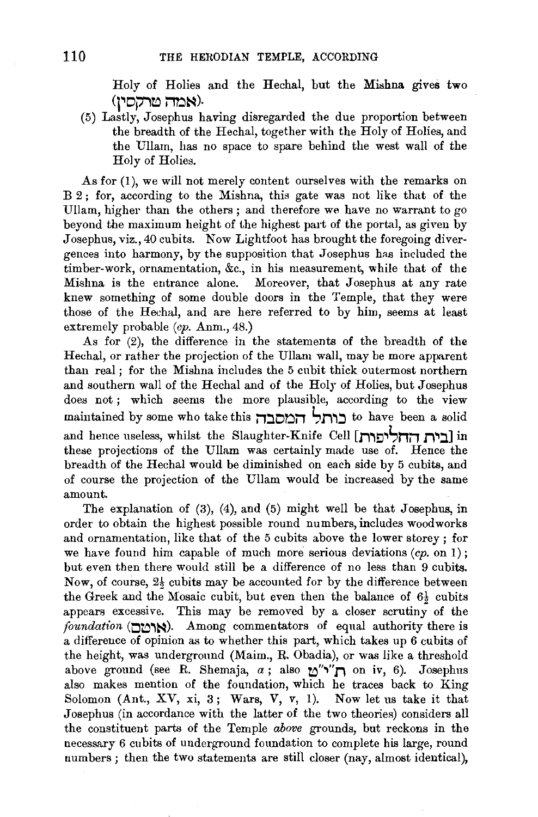Holy of Holies and the Hechal, but the Mishna gives two אמה טרקסין).

(5) Lastly, Josephus having disregarded the due proportion between the breadth of the Hechal, together with the Holy of Holies, and the Ullam, has no space to spare behind the west wall of the Holy of Holies.

As for (1), we will not merely content ourselves with the remarks on B 2 ; for, according to the Mishna, this gate was not like that of the Ullam, higher than the others ; and therefore we have no warrant to go beyond the maximum height of the highest part of the portal, as given by Josephus, viz., 40 cubits. Now Lightfoot has brought the foregoing divergences into harmony, by the supposition that Josephus has included the timber-work, ornamentation, &c., in his measurement, while that of the Mishna is the entrance alone. Moreover, that Josephus at any rate knew something of some double doors in the Temple, that they were those of the Heehal, and are here referred to by him, seems at least extremely probable *(cp.* Anm., 48.)

As for (2), the difference in the statements of the breadth of the Hechal, or rather the projection of the Ullam wall, may be more apparent than real; for the Mishna includes the 5 cubit thick outermost northern and southern wall of the Hechal and of the Holy of Holies, but Josephus does not; which seems the more plausible, according to the view maintained by some who take this **i1::J.OOi1** ~.n,:l to have been a solid and hence useless, whilst the Slaughter-Knife Cell [בית החליפות] in these projections of the Ullam was certainly made use of. Hence the breadth of the Hechal would be diminished on each side by 5 cubits, and of course the projection of the Ullam would be increased by the same amount.

The explanation of (3), (4), and (5) might well be that Josephus, in order to obtain the highest possible round numbers, includes wood works and ornamentation, like that of the 5 cubits above the lower storey ; for we have found him capable of much more serious deviations *(cp.* on 1); but even then there would still be a difference of no less than 9 cubits. Now, of course,  $2\frac{1}{2}$  cubits may be accounted for by the difference between the Greek and the Mosaic cubit, but even then the balance of  $6\frac{1}{2}$  cubits appears excessive. This may be removed by a closer scrutiny of the *foundation* (**או**מה). Among commentators of equal authority there is a difference of opinion as to whether this part, which takes up 6 cubits of the height, was underground (Maim., R. Obadia), or was like a threshold above ground (see R. Shemaja,  $\alpha$ ; also  $\alpha'''$ "n on iv, 6). Josephus also makes mention of the foundation, which he traces back to King Solomon (Ant., XV, xi, 3; Wars, V, v, 1). Now let us take it that Josephus (in accordance with the latter of the two theories) considers all the constituent parts of the Temple *above* grounds, but reckons in the necessary 6 cubits of underground foundation to complete his large, round numbers; then the two statements are still closer (nay, almost identical),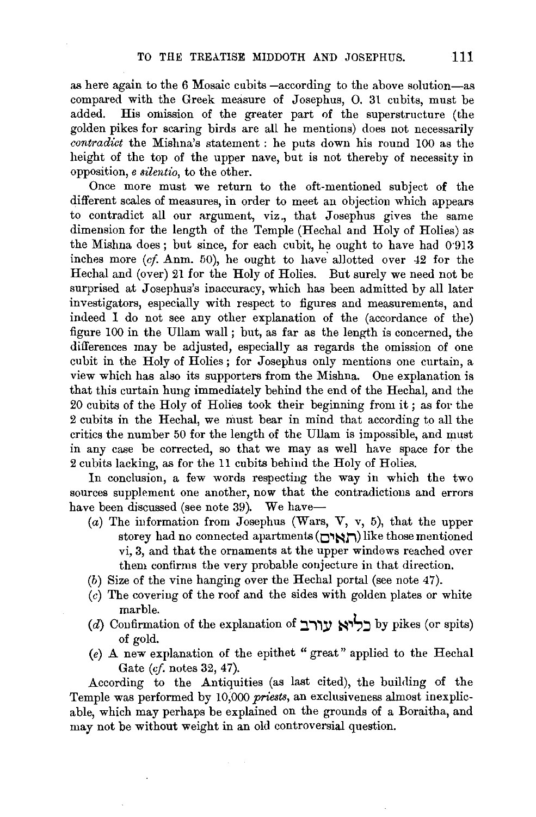as here again to the 6 Mosaic cubits -according to the above solution-as compared with the Greek measure of Josephus, 0. 31 cubits, must be added. His omission of the greater part of the superstructure (the golden pikes for scaring birds are all he mentions) does not necessarily *contradict* the Mishna's statement : he puts down his round 100 as the height of the top of the upper nave, but is not thereby of necessity in opposition, *e silentio,* to the other.

Once more must we return to the oft-mentioned subject of the different scales of measures, in order to meet an objection which appears to contradict all our argument, viz., that Josephus gives the same dimension for the length of the Temple (Hechal and Holy of Holies) as the Mishna does; but since, for each cubit, he ought to have had 0"913 inches more (cf. Anm. 50), he ought to have allotted over 42 for the Hechal and (over) 21 for the Holy of Holies. But surely we need not be surprised at Josephus's inaccuracy, which has been admitted by all later investigators, especially with respect to figures and measurements, and indeed I do not see any other explanation of the (accordance of the) figure lOO in the Ullam wall; but, as far as the length is concerned, the differences may be adjusted, especially as regards the omission of one cubit in the Holy of Holies; for Josephus only mentions one curtain, a view which has also its supporters from the Mishna. One explanation is that this curtain hung immediately behind the end of the Hechal, and the 20 cubits of the Holy of Holies took their beginning from it ; as for the 2 cubits in the Hechal, we must bear in mind that according to all the critics the number 50 for the length of the Ullam is impossible, and must in any case be corrected, so that we may as well have space for the 2 cubits lacking, as for the 11 cubits behind the Holy of Holies.

In conclusion, a few words respecting the way in which the two sources supplement one another, now that the contradictions and errors have been discussed (see note 39). We have-

- (a) The information from Josephus (Wars, V, v, 5), that the upper storey had no connected apartments ( $\Box$ جدن) like those mentioned vi, 3, and that the ornaments at the upper windows reached over them confirms the very probable conjecture in that direction.
- (b) Size of the vine hanging over the Hechal portal (see note 47).
- $(c)$  The covering of the roof and the sides with golden plates or white marble.
- (d) Confirmation of the explanation of  $r$ רליא  $y$ ורב by pikes (or spits) of gold.
- (e) A new explanation of the epithet "great" applied to the Hechal Gate *(cf.* notes 32, 47).

According to the Antiquities (as last cited), the building of the Temple was performed by 10,000 *priests,* an exclusiveness almost inexplicable, which may perhaps be explained on the grounds of a Boraitha, and may not be without weight in an old controversial question.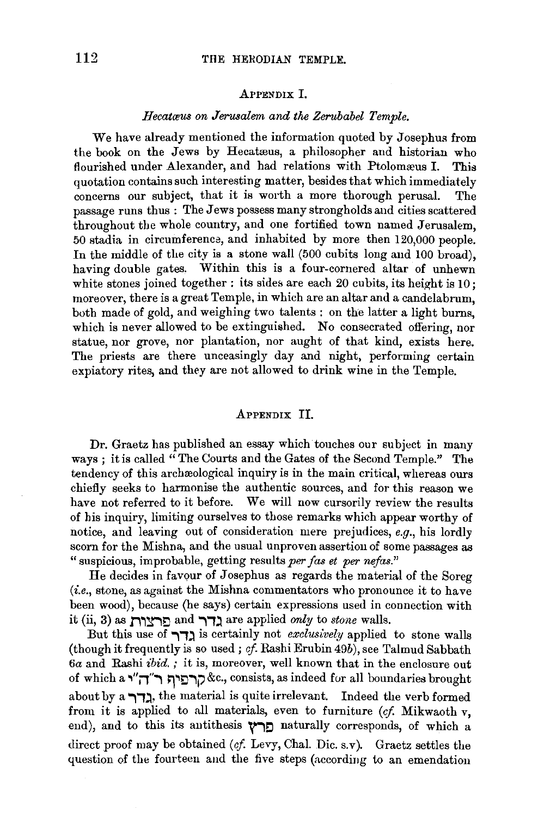#### APPENDIX I.

#### *Hecatreus on Jerusalem and the Zerubabel Temple.*

We have already mentioned the information quoted by Josephus from the book on the Jews by Hecatæus, a philosopher and historian who flourished under Alexander, and had relations with Ptolomæus I. This quotation contains such interesting matter, besides that which immediately concerns our subject, that it is worth a more thorough perusal. The passage runs thus : The Jews possess many strongholds and cities scattered throughout the whole country, and one fortified town named Jerusalem, 50 stadia in circumference, and inhabited by more then 120,000 people. In the middle of the city is a stone wall (500 cubits long and 100 broad), having double gates. Within this is a four-cornered altar of unhewn white stones joined together: its sides are each 20 cubits, its height is 10; moreover, there is a great Temple, in which are an altar and a candelabrum, both made of gold, and weighing two talents : on the latter a light burns, which is never allowed to be extinguished. No consecrated offering, nor statue, nor grove, nor plantation, nor aught of that kind, exists here. The priests are there unceasingly day and night, performing certain expiatory rites, and they are not allowed to drink wine in the Temple.

## APPENDIX II.

Dr. Graetz has published an essay which touches our subject in many ways ; it is called "The Courts and the Gates of the Second Temple." The tendency of this archæological inquiry is in the main critical, whereas ours chiefly seeks to harmonise the authentic sources, and for this reason we have not referred to it before. We will now cursorily review the results of his inquiry, limiting ourselves to those remarks which appear worthy of notice, and leaving out of consideration mere prejudices, *e.g.,* his lordly scorn for the Mishna, and the usual unproven assertion of some passages as "suspicious, improbable, getting results *per fas et per nefas."* 

He decides in favour of Josephus as regards the material of the Soreg *(i.e.,* stone, as against the Mishna commentators who pronounce it to have been wood), because (he says) certain expressions used in connection with it (ii, 3) as **I"l,::ti!:l** and **""1,.:1** are applied *only* to *stone* walls.

But this use of **.,,.:I** is certainly not *exclusively* applied to stone walls (though it frequently is so used; *cf* Rashi Erubin *49b* ), see Talmud Sabbath *6a* and Rashi *ibid.* ; it is, moreover, well known that in the enclosure out of which a **'l"i1"""'1** ~'l!:)""''j? &c., consists, as indeed for all boundaries brought about by a רְדָר, the material is quite irrelevant. Indeed the verb formed from it is applied to all materials, even to furniture *(cf* Mikwaoth v, end), and to this its antithesis **חַרץ** naturally corresponds, of which a direct proof may be obtained (cf. Levy, Chal. Dic. s.v). Graetz settles the question of the fourteen and the five steps (according to an emendation